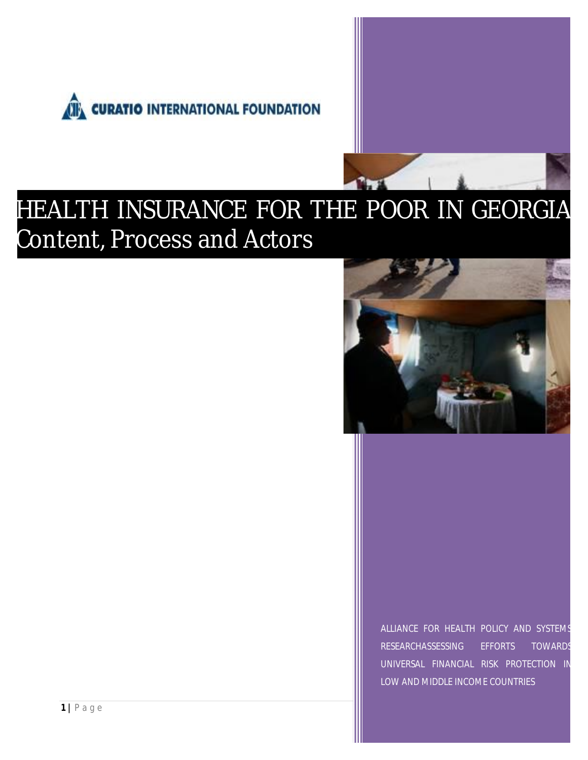



# HEALTH INSURANCE FOR THE POOR IN GEORGIA Content, Process and Actors



ALLIANCE FOR HEALTH POLICY AND SYSTEMS RESEARCHASSESSING EFFORTS TOWARDS UNIVERSAL FINANCIAL RISK PROTECTION IN LOW AND MIDDLE INCOME COUNTRIES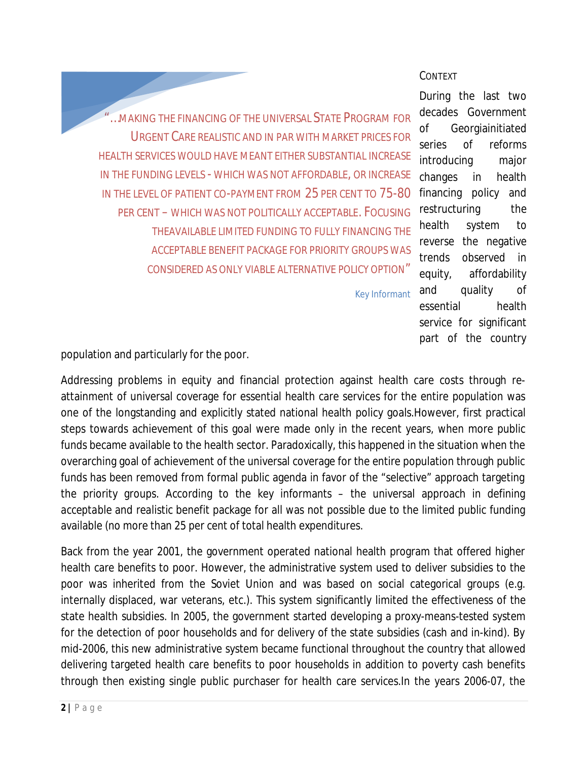...MAKING THE FINANCING OF THE UNIVERSAL STATE PROGRAM FOR URGENT CARE REALISTIC AND IN PAR WITH MARKET PRICES FOR HEALTH SERVICES WOULD HAVE MEANT EITHER SUBSTANTIAL INCREASE IN THE FUNDING LEVELS - WHICH WAS NOT AFFORDABLE, OR INCREASE IN THE LEVEL OF PATIENT CO-PAYMENT FROM 25 PER CENT TO 75-80 PER CENT – WHICH WAS NOT POLITICALLY ACCEPTABLE. FOCUSING THEAVAILABLE LIMITED FUNDING TO *FULLY* FINANCING THE ACCEPTABLE BENEFIT PACKAGE FOR PRIORITY GROUPS WAS CONSIDERED AS ONLY VIABLE ALTERNATIVE POLICY OPTION"

Key Informant

During the last two decades Government of Georgiainitiated series of reforms introducing major changes in health financing policy and restructuring the health system to reverse the negative trends observed in equity, affordability and quality of essential health service for significant part of the country

CONTEXT

population and particularly for the poor.

Addressing problems in equity and financial protection against health care costs through reattainment of universal coverage for essential health care services for the entire population was one of the longstanding and explicitly stated national health policy goals.However, first practical steps towards achievement of this goal were made only in the recent years, when more public funds became available to the health sector. Paradoxically, this happened in the situation when the overarching goal of achievement of the universal coverage for the entire population through public funds has been removed from formal public agenda in favor of the "selective" approach targeting the priority groups. According to the key informants – the universal approach in defining *acceptable* and *realistic* benefit package for all was not possible due to the limited public funding available (no more than 25 per cent of total health expenditures.

Back from the year 2001, the government operated national health program that offered higher health care benefits to poor. However, the administrative system used to deliver subsidies to the poor was inherited from the Soviet Union and was based on social categorical groups (e.g. internally displaced, war veterans, etc.). This system significantly limited the effectiveness of the state health subsidies. In 2005, the government started developing a proxy-means-tested system for the detection of poor households and for delivery of the state subsidies (cash and in-kind). By mid-2006, this new administrative system became functional throughout the country that allowed delivering targeted health care benefits to poor households in addition to poverty cash benefits through then existing single public purchaser for health care services.In the years 2006-07, the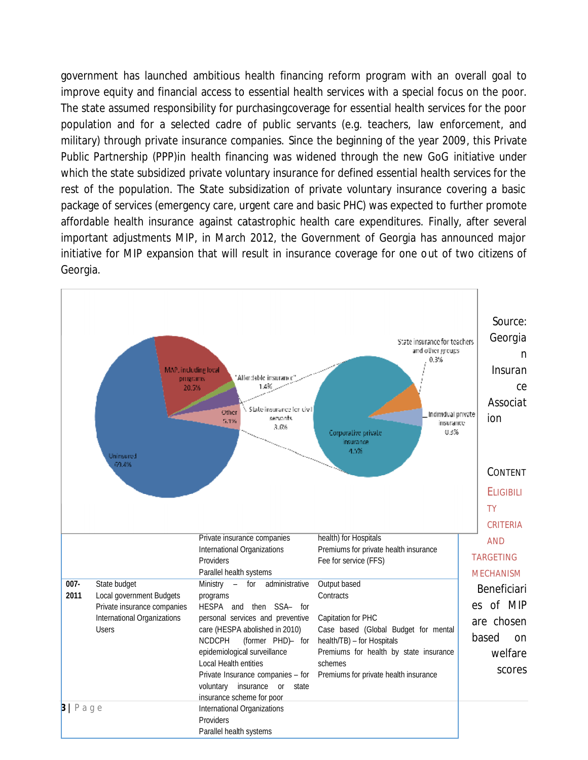government has launched ambitious health financing reform program with an overall goal to improve equity and financial access to essential health services with a special focus on the poor. The state assumed responsibility for purchasingcoverage for essential health services for the poor population and for a selected cadre of public servants (e.g. teachers, law enforcement, and military) through private insurance companies. Since the beginning of the year 2009, this Private Public Partnership (PPP)in health financing was widened through the new GoG initiative which the state subsidized private voluntary insurance for defined essential health services for the rest of the population. The State subsidization of private voluntary insurance covering a basic rest of the population. The State subsidization of private voluntary insurance covering a basic<br>package of services (emergency care, urgent care and basic PHC) was expected to further promote affordable health insurance against catastrophic health care expenditures. Finally, after several important adjustments MIP, in March 2012, the Government of Georgia has announced major initiative for MIP expansion that will result in insurance coverage for one out of two citizens of Georgia. coverage for essential health services for the poor<br>c servants (e.g. teachers, law enforcement, and<br>Since the beginning of the year 2009, this Private<br>s widened through the new GoG initiative under

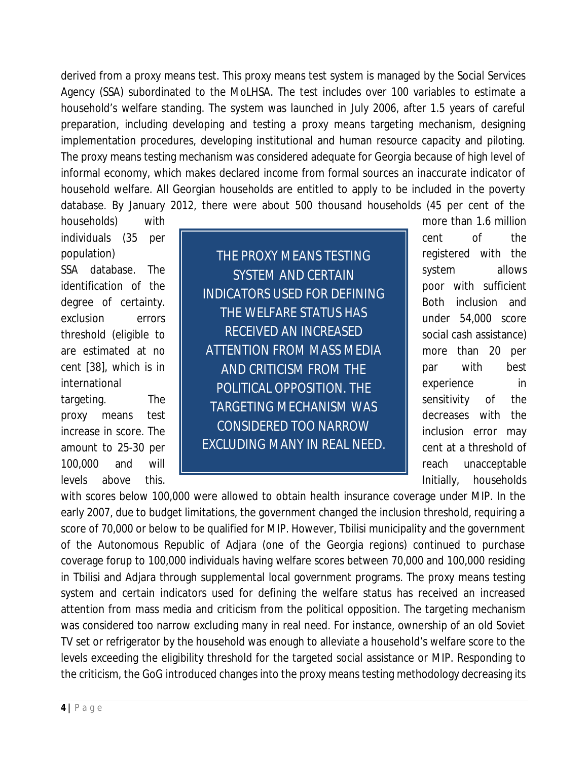derived from a proxy means test. This proxy means test system is managed by the Social Services Agency (SSA) subordinated to the MoLHSA. The test includes over 100 variables to estimate a household's welfare standing. The system was launched in July 2006, after 1.5 years of careful preparation, including developing and testing a proxy means targeting mechanism, designing implementation procedures, developing institutional and human resource capacity and piloting. The proxy means testing mechanism was considered adequate for Georgia because of high level of informal economy, which makes declared income from formal sources an inaccurate indicator of household welfare. All Georgian households are entitled to apply to be included in the poverty database. By January 2012, there were about 500 thousand households (45 per cent of the

households) with with more than 1.6 million individuals (35 per  $\parallel$  cent of the

100,000 and will **reach unacceptable** 

population) **THE PROXY MEANS TESTING** Pregistered with the SSA database. The **SYSTEM AND CERTAIN** System allows *INDICATORS USED FOR DEFINING THE WELFARE STATUS HAS RECEIVED AN INCREASED*  are estimated at no | A*TTENTION FROM MASS MEDIA* | more than 20 per cent [38], which is in **part is a state of AND CRITICISM FROM THE** part with best *POLITICAL OPPOSITION. THE*  international experience in targeting. The TARGETING MECHANISM WAS sensitivity of the sensitivity of the sensitivity of the sensitivity of the *CONSIDERED TOO NARROW*  amount to 25-30 per | EXCLUDING MANY IN REAL NEED. | cent at a threshold of identification of the  $\|\cdot\|_{\text{m}}$ degree of certainty. **Example 10 EV EVALUATE: EVALUATE: Both** inclusion and exclusion errors **THE EXELLED FOR SEXT REPORT FOR THE EXECUTION** CONTEXT PROOF SCORE threshold (eligible to  $\parallel$  RECEIVED AN INCREASED  $\parallel$  social cash assistance) proxy means test decreases with the increase in score. The  $\begin{vmatrix} 1 & 0 & 0 \\ 0 & 0 & 1 \end{vmatrix}$  inclusion error may

levels above this. The state of the state of the limitially, households above this.

with scores below 100,000 were allowed to obtain health insurance coverage under MIP. In the early 2007, due to budget limitations, the government changed the inclusion threshold, requiring a score of 70,000 or below to be qualified for MIP. However, Tbilisi municipality and the government of the Autonomous Republic of Adjara (one of the Georgia regions) continued to purchase coverage forup to 100,000 individuals having welfare scores between 70,000 and 100,000 residing in Tbilisi and Adjara through supplemental local government programs. The proxy means testing system and certain indicators used for defining the welfare status has received an increased attention from mass media and criticism from the political opposition. The targeting mechanism was considered too narrow excluding many in real need. For instance, ownership of an old Soviet TV set or refrigerator by the household was enough to alleviate a household's welfare score to the levels exceeding the eligibility threshold for the targeted social assistance or MIP. Responding to the criticism, the GoG introduced changes into the proxy means testing methodology decreasing its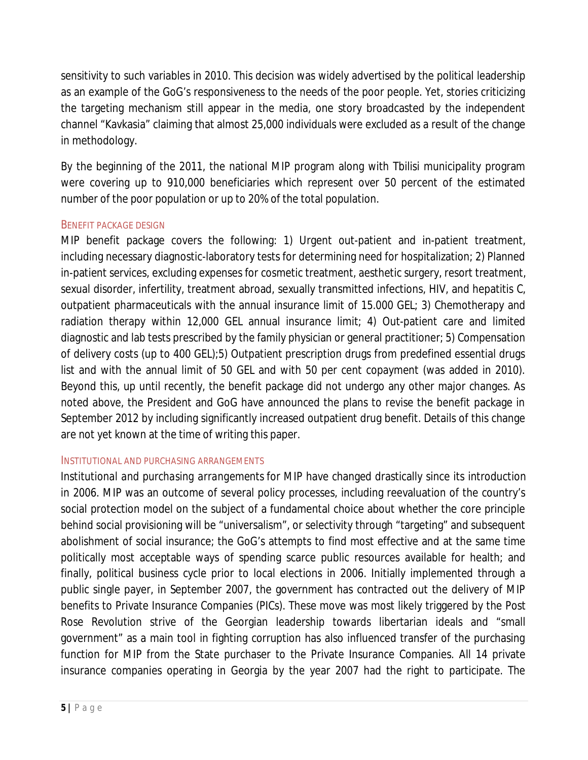sensitivity to such variables in 2010. This decision was widely advertised by the political leadership as an example of the GoG's responsiveness to the needs of the poor people. Yet, stories criticizing the targeting mechanism still appear in the media, one story broadcasted by the independent channel "Kavkasia" claiming that almost 25,000 individuals were excluded as a result of the change in methodology.

By the beginning of the 2011, the national MIP program along with Tbilisi municipality program were covering up to 910,000 beneficiaries which represent over 50 percent of the estimated number of the poor population or up to 20% of the total population.

### BENEFIT PACKAGE DESIGN

MIP benefit package covers the following: 1) Urgent out-patient and in-patient treatment, including necessary diagnostic-laboratory tests for determining need for hospitalization; 2) Planned in-patient services, excluding expenses for cosmetic treatment, aesthetic surgery, resort treatment, sexual disorder, infertility, treatment abroad, sexually transmitted infections, HIV, and hepatitis C, outpatient pharmaceuticals with the annual insurance limit of 15.000 GEL; 3) Chemotherapy and radiation therapy within 12,000 GEL annual insurance limit; 4) Out-patient care and limited diagnostic and lab tests prescribed by the family physician or general practitioner; 5) Compensation of delivery costs (up to 400 GEL);5) Outpatient prescription drugs from predefined essential drugs list and with the annual limit of 50 GEL and with 50 per cent copayment (was added in 2010). Beyond this, up until recently, the benefit package did not undergo any other major changes. As noted above, the President and GoG have announced the plans to revise the benefit package in September 2012 by including significantly increased outpatient drug benefit. Details of this change are not yet known at the time of writing this paper.

#### INSTITUTIONAL AND PURCHASING ARRANGEMENTS

*Institutional and purchasing arrangements* for MIP have changed drastically since its introduction in 2006. MIP was an outcome of several policy processes, including reevaluation of the country's social protection model on the subject of a fundamental choice about whether the core principle behind social provisioning will be "universalism", or selectivity through "targeting" and subsequent abolishment of social insurance; the GoG's attempts to find most effective and at the same time politically most acceptable ways of spending scarce public resources available for health; and finally, political business cycle prior to local elections in 2006. Initially implemented through a public single payer, in September 2007, the government has contracted out the delivery of MIP benefits to Private Insurance Companies (PICs). These move was most likely triggered by the Post Rose Revolution strive of the Georgian leadership towards libertarian ideals and "small government" as a main tool in fighting corruption has also influenced transfer of the purchasing function for MIP from the State purchaser to the Private Insurance Companies. All 14 private insurance companies operating in Georgia by the year 2007 had the right to participate. The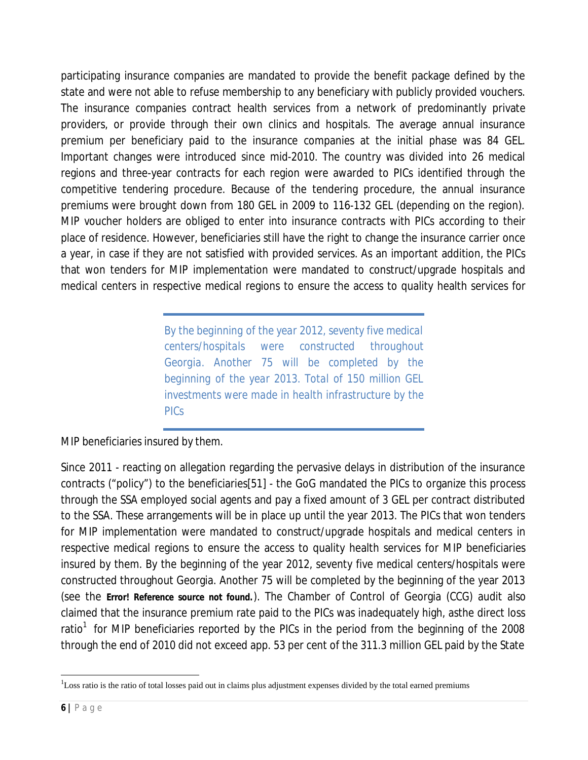participating insurance companies are mandated to provide the benefit package defined by the state and were not able to refuse membership to any beneficiary with publicly provided vouchers. The insurance companies contract health services from a network of predominantly private providers, or provide through their own clinics and hospitals. The average annual insurance premium per beneficiary paid to the insurance companies at the initial phase was 84 GEL. Important changes were introduced since mid-2010. The country was divided into 26 medical regions and three-year contracts for each region were awarded to PICs identified through the competitive tendering procedure. Because of the tendering procedure, the annual insurance premiums were brought down from 180 GEL in 2009 to 116-132 GEL (depending on the region). MIP voucher holders are obliged to enter into insurance contracts with PICs according to their place of residence. However, beneficiaries still have the right to change the insurance carrier once a year, in case if they are not satisfied with provided services. As an important addition, the PICs that won tenders for MIP implementation were mandated to construct/upgrade hospitals and medical centers in respective medical regions to ensure the access to quality health services for

> *By the beginning of the year 2012, seventy five medical centers/hospitals were constructed throughout Georgia. Another 75 will be completed by the beginning of the year 2013. Total of 150 million GEL investments were made in health infrastructure by the PICs*

MIP beneficiaries insured by them.

Since 2011 - reacting on allegation regarding the pervasive delays in distribution of the insurance contracts ("policy") to the beneficiaries[51] - the GoG mandated the PICs to organize this process through the SSA employed social agents and pay a fixed amount of 3 GEL per contract distributed to the SSA. These arrangements will be in place up until the year 2013. The PICs that won tenders for MIP implementation were mandated to construct/upgrade hospitals and medical centers in respective medical regions to ensure the access to quality health services for MIP beneficiaries insured by them. By the beginning of the year 2012, seventy five medical centers/hospitals were constructed throughout Georgia. Another 75 will be completed by the beginning of the year 2013 (see the **Error! Reference source not found.**). The Chamber of Control of Georgia (CCG) audit also claimed that the insurance premium rate paid to the PICs was inadequately high, asthe direct loss ratio<sup>1</sup> for MIP beneficiaries reported by the PICs in the period from the beginning of the 2008 through the end of 2010 did not exceed app. 53 per cent of the 311.3 million GEL paid by the State

1

<sup>&</sup>lt;sup>1</sup>Loss ratio is the ratio of total losses paid out in claims plus adjustment expenses divided by the total earned premiums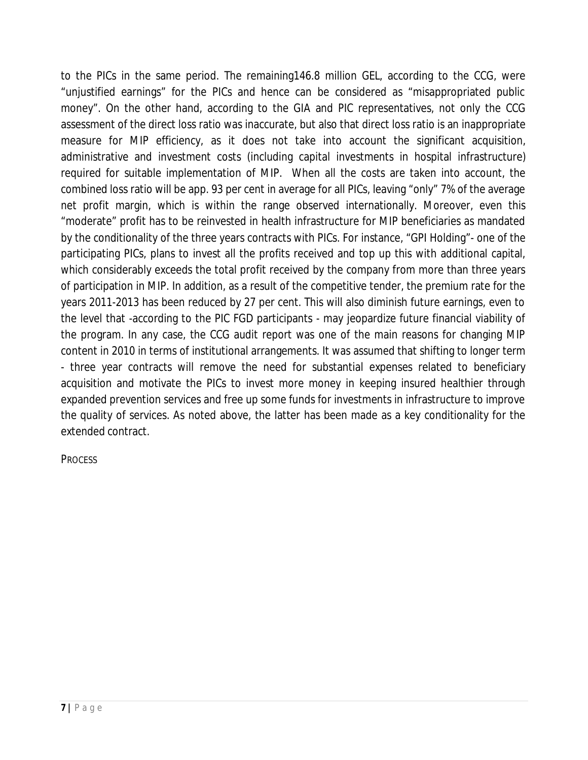to the PICs in the same period. The remaining146.8 million GEL, according to the CCG, were "unjustified earnings" for the PICs and hence can be considered as "misappropriated public money". On the other hand, according to the GIA and PIC representatives, not only the CCG assessment of the direct loss ratio was inaccurate, but also that direct loss ratio is an inappropriate measure for MIP efficiency, as it does not take into account the significant acquisition, administrative and investment costs (including capital investments in hospital infrastructure) required for suitable implementation of MIP. When all the costs are taken into account, the combined loss ratio will be app. 93 per cent in average for all PICs, leaving "only" 7% of the average net profit margin, which is within the range observed internationally. Moreover, even this "moderate" profit has to be reinvested in health infrastructure for MIP beneficiaries as mandated by the conditionality of the three years contracts with PICs. For instance, "GPI Holding"- one of the participating PICs, plans to invest all the profits received and top up this with additional capital, which considerably exceeds the total profit received by the company from more than three years of participation in MIP. In addition, as a result of the competitive tender, the premium rate for the years 2011-2013 has been reduced by 27 per cent. This will also diminish future earnings, even to the level that -according to the PIC FGD participants - may jeopardize future financial viability of the program. In any case, the CCG audit report was one of the main reasons for changing MIP content in 2010 in terms of institutional arrangements. It was assumed that shifting to longer term - three year contracts will remove the need for substantial expenses related to beneficiary acquisition and motivate the PICs to invest more money in keeping insured healthier through expanded prevention services and free up some funds for investments in infrastructure to improve the quality of services. As noted above, the latter has been made as a key conditionality for the extended contract.

**PROCESS**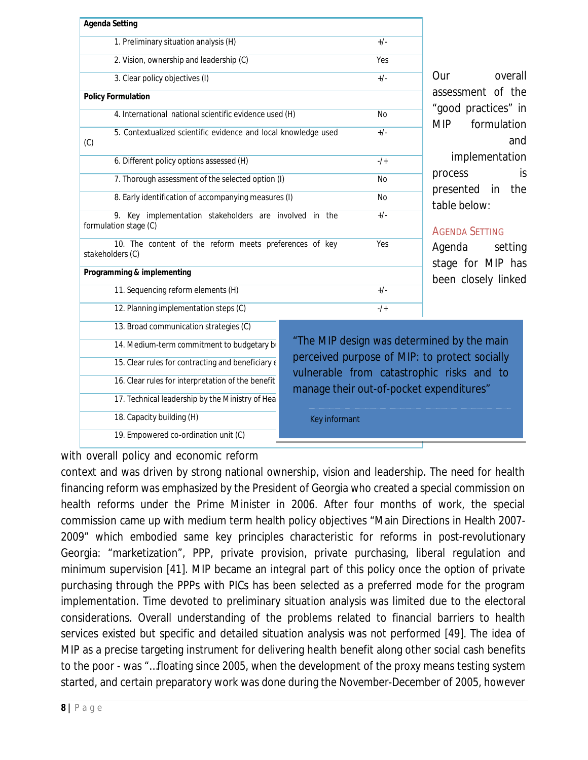| <b>Agenda Setting</b>                                                           |                                                                                             |           |                                        |  |
|---------------------------------------------------------------------------------|---------------------------------------------------------------------------------------------|-----------|----------------------------------------|--|
| 1. Preliminary situation analysis (H)                                           |                                                                                             | $+/-$     |                                        |  |
| 2. Vision, ownership and leadership (C)                                         |                                                                                             | Yes       |                                        |  |
| 3. Clear policy objectives (I)                                                  |                                                                                             | $+/-$     | overall<br>Our                         |  |
| <b>Policy Formulation</b>                                                       |                                                                                             |           | assessment of the                      |  |
| 4. International national scientific evidence used (H)                          |                                                                                             | <b>No</b> | "good practices" in                    |  |
| 5. Contextualized scientific evidence and local knowledge used<br>(C)           |                                                                                             | $+/-$     | <b>MIP</b><br>formulation<br>and       |  |
| 6. Different policy options assessed (H)                                        |                                                                                             | $-1$      | implementation                         |  |
| 7. Thorough assessment of the selected option (I)                               |                                                                                             | No        | is<br>process                          |  |
| 8. Early identification of accompanying measures (I)                            |                                                                                             | No        | the<br>presented<br>in<br>table below: |  |
| 9. Key implementation stakeholders are involved in the<br>formulation stage (C) |                                                                                             | $+/-$     | <b>AGENDA SETTING</b>                  |  |
| 10. The content of the reform meets preferences of key<br>stakeholders (C)      |                                                                                             | Yes       | Agenda<br>setting<br>stage for MIP has |  |
| Programming & implementing                                                      |                                                                                             |           | been closely linked                    |  |
| 11. Sequencing reform elements (H)                                              |                                                                                             | $+/-$     |                                        |  |
| 12. Planning implementation steps (C)                                           |                                                                                             | $-1$      |                                        |  |
| 13. Broad communication strategies (C)                                          |                                                                                             |           |                                        |  |
| 14. Medium-term commitment to budgetary bi                                      | "The MIP design was determined by the main<br>perceived purpose of MIP: to protect socially |           |                                        |  |
| 15. Clear rules for contracting and beneficiary $\epsilon$                      |                                                                                             |           |                                        |  |
| 16. Clear rules for interpretation of the benefit                               | vulnerable from catastrophic risks and to<br>manage their out-of-pocket expenditures"       |           |                                        |  |
| 17. Technical leadership by the Ministry of Hea                                 |                                                                                             |           |                                        |  |
| 18. Capacity building (H)                                                       | Key informant                                                                               |           |                                        |  |
| 19. Empowered co-ordination unit (C)                                            |                                                                                             |           |                                        |  |

with overall policy and economic reform

context and was driven by strong national ownership, vision and leadership. The need for health financing reform was emphasized by the President of Georgia who created a special commission on health reforms under the Prime Minister in 2006. After four months of work, the special commission came up with medium term health policy objectives "Main Directions in Health 2007- 2009" which embodied same key principles characteristic for reforms in post-revolutionary Georgia: "marketization", PPP, private provision, private purchasing, liberal regulation and minimum supervision [41]. MIP became an integral part of this policy once the option of private purchasing through the PPPs with PICs has been selected as a preferred mode for the program implementation. Time devoted to preliminary situation analysis was limited due to the electoral considerations. Overall understanding of the problems related to financial barriers to health services existed but specific and detailed situation analysis was not performed [49]. The idea of MIP as a precise targeting instrument for delivering health benefit along other social cash benefits to the poor - was "…floating since 2005, when the development of the proxy means testing system started, and certain preparatory work was done during the November-December of 2005, however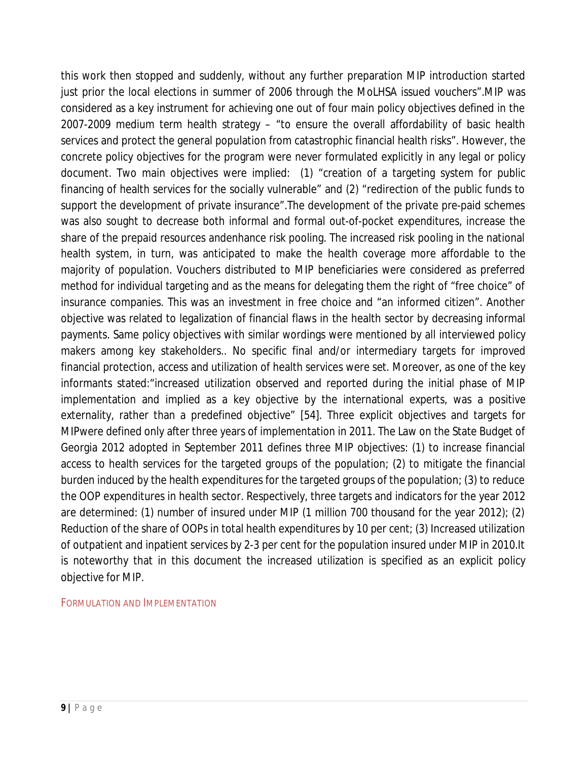this work then stopped and suddenly, without any further preparation MIP introduction started just prior the local elections in summer of 2006 through the MoLHSA issued vouchers".MIP was considered as a key instrument for achieving one out of four main policy objectives defined in the 2007-2009 medium term health strategy – "to ensure the overall affordability of basic health services and protect the general population from catastrophic financial health risks". However, the concrete policy objectives for the program were never formulated explicitly in any legal or policy document. Two main objectives were implied: (1) "creation of a targeting system for public financing of health services for the socially vulnerable" and (2) "redirection of the public funds to support the development of private insurance".The development of the private pre-paid schemes was also sought to decrease both informal and formal out-of-pocket expenditures, increase the share of the prepaid resources andenhance risk pooling. The increased risk pooling in the national health system, in turn, was anticipated to make the health coverage more affordable to the majority of population. Vouchers distributed to MIP beneficiaries were considered as preferred method for individual targeting and as the means for delegating them the right of "free choice" of insurance companies. This was an investment in free choice and "an informed citizen". Another objective was related to legalization of financial flaws in the health sector by decreasing informal payments. Same policy objectives with similar wordings were mentioned by all interviewed policy makers among key stakeholders.. No specific final and/or intermediary targets for improved financial protection, access and utilization of health services were set. Moreover, as one of the key informants stated:"increased utilization observed and reported during the initial phase of MIP implementation and implied as a key objective by the international experts, was a positive externality, rather than a predefined objective" [54]. Three explicit objectives and targets for MIPwere defined only after three years of implementation in 2011. The Law on the State Budget of Georgia 2012 adopted in September 2011 defines three MIP objectives: (1) to increase financial access to health services for the targeted groups of the population; (2) to mitigate the financial burden induced by the health expenditures for the targeted groups of the population; (3) to reduce the OOP expenditures in health sector. Respectively, three targets and indicators for the year 2012 are determined: (1) number of insured under MIP (1 million 700 thousand for the year 2012); (2) Reduction of the share of OOPs in total health expenditures by 10 per cent; (3) Increased utilization of outpatient and inpatient services by 2-3 per cent for the population insured under MIP in 2010.It is noteworthy that in this document the increased utilization is specified as an explicit policy objective for MIP.

FORMULATION AND IMPLEMENTATION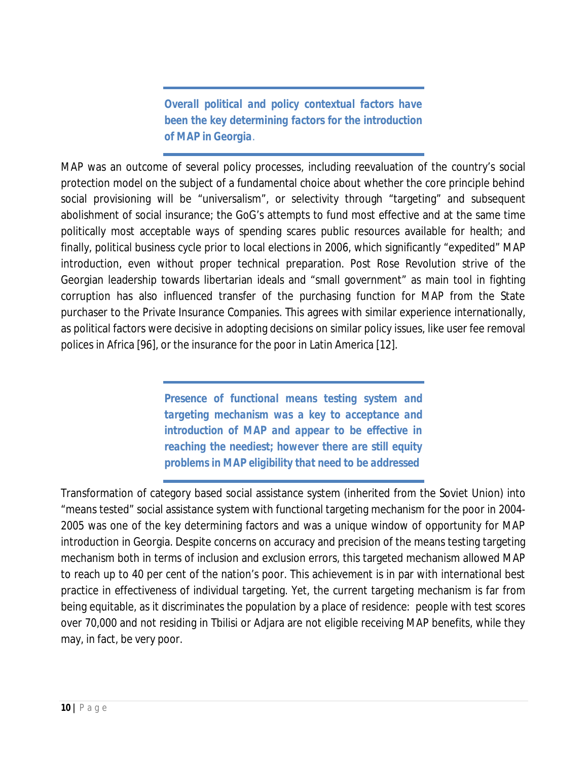*Overall political and policy contextual factors have been the key determining factors for the introduction of MAP in Georgia.* 

MAP was an outcome of several policy processes, including reevaluation of the country's social protection model on the subject of a fundamental choice about whether the core principle behind social provisioning will be "universalism", or selectivity through "targeting" and subsequent abolishment of social insurance; the GoG's attempts to fund most effective and at the same time politically most acceptable ways of spending scares public resources available for health; and finally, political business cycle prior to local elections in 2006, which significantly "expedited" MAP introduction, even without proper technical preparation. Post Rose Revolution strive of the Georgian leadership towards libertarian ideals and "small government" as main tool in fighting corruption has also influenced transfer of the purchasing function for MAP from the State purchaser to the Private Insurance Companies. This agrees with similar experience internationally, as political factors were decisive in adopting decisions on similar policy issues, like user fee removal polices in Africa [96], or the insurance for the poor in Latin America [12].

> *Presence of functional means testing system and targeting mechanism was a key to acceptance and introduction of MAP and appear to be effective in reaching the neediest; however there are still equity problems in MAP eligibility that need to be addressed*

Transformation of category based social assistance system (inherited from the Soviet Union) into "means tested" social assistance system with functional targeting mechanism for the poor in 2004- 2005 was one of the key determining factors and was a unique window of opportunity for MAP introduction in Georgia. Despite concerns on accuracy and precision of the means testing targeting mechanism both in terms of inclusion and exclusion errors, this targeted mechanism allowed MAP to reach up to 40 per cent of the nation's poor. This achievement is in par with international best practice in effectiveness of individual targeting. Yet, the current targeting mechanism is far from being equitable, as it discriminates the population by a place of residence: people with test scores over 70,000 and not residing in Tbilisi or Adjara are not eligible receiving MAP benefits, while they may, in fact, be very poor.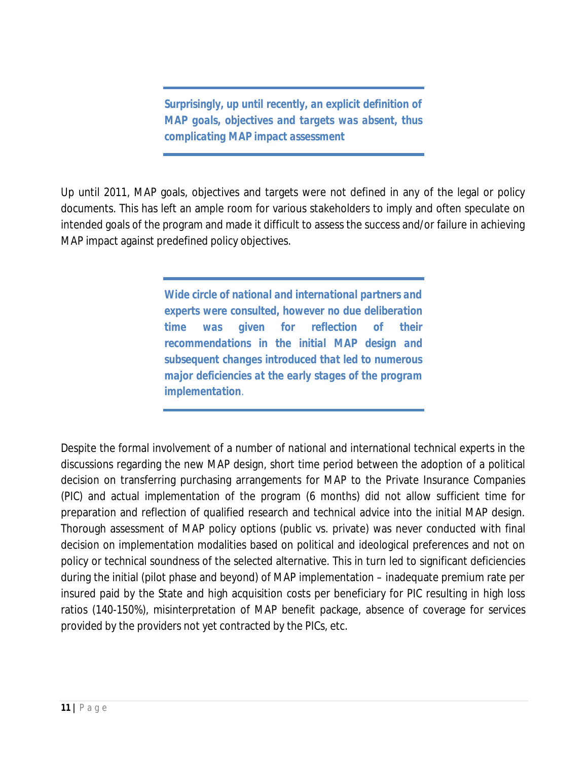*Surprisingly, up until recently, an explicit definition of MAP goals, objectives and targets was absent, thus complicating MAP impact assessment*

Up until 2011, MAP goals, objectives and targets were not defined in any of the legal or policy documents. This has left an ample room for various stakeholders to imply and often speculate on intended goals of the program and made it difficult to assess the success and/or failure in achieving MAP impact against predefined policy objectives.

> *Wide circle of national and international partners and experts were consulted, however no due deliberation time was given for reflection of their recommendations in the initial MAP design and subsequent changes introduced that led to numerous major deficiencies at the early stages of the program implementation.*

Despite the formal involvement of a number of national and international technical experts in the discussions regarding the new MAP design, short time period between the adoption of a political decision on transferring purchasing arrangements for MAP to the Private Insurance Companies (PIC) and actual implementation of the program (6 months) did not allow sufficient time for preparation and reflection of qualified research and technical advice into the initial MAP design. Thorough assessment of MAP policy options (public vs. private) was never conducted with final decision on implementation modalities based on political and ideological preferences and not on policy or technical soundness of the selected alternative. This in turn led to significant deficiencies during the initial (pilot phase and beyond) of MAP implementation – inadequate premium rate per insured paid by the State and high acquisition costs per beneficiary for PIC resulting in high loss ratios (140-150%), misinterpretation of MAP benefit package, absence of coverage for services provided by the providers not yet contracted by the PICs, etc.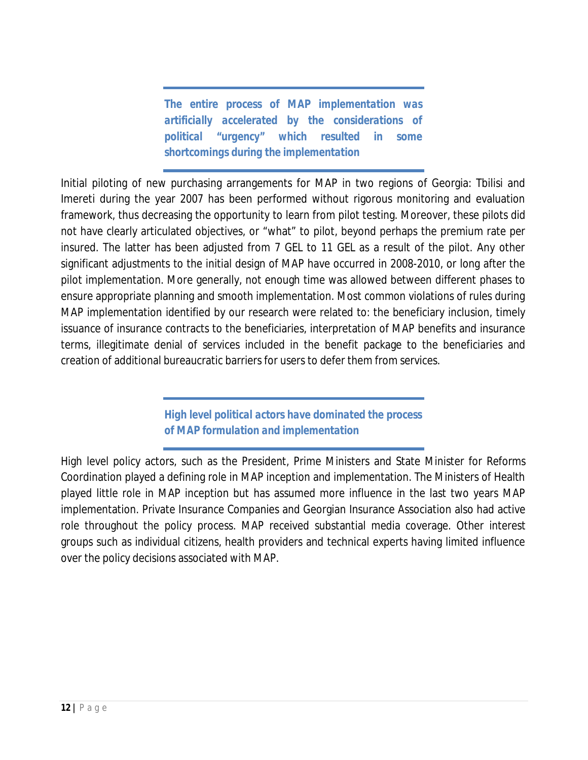*The entire process of MAP implementation was artificially accelerated by the considerations of political "urgency" which resulted in some shortcomings during the implementation*

Initial piloting of new purchasing arrangements for MAP in two regions of Georgia: Tbilisi and Imereti during the year 2007 has been performed without rigorous monitoring and evaluation framework, thus decreasing the opportunity to learn from pilot testing. Moreover, these pilots did not have clearly articulated objectives, or "what" to pilot, beyond perhaps the premium rate per insured. The latter has been adjusted from 7 GEL to 11 GEL as a result of the pilot. Any other significant adjustments to the initial design of MAP have occurred in 2008-2010, or long after the pilot implementation. More generally, not enough time was allowed between different phases to ensure appropriate planning and smooth implementation. Most common violations of rules during MAP implementation identified by our research were related to: the beneficiary inclusion, timely issuance of insurance contracts to the beneficiaries, interpretation of MAP benefits and insurance terms, illegitimate denial of services included in the benefit package to the beneficiaries and creation of additional bureaucratic barriers for users to defer them from services.

> *High level political actors have dominated the process of MAP formulation and implementation*

High level policy actors, such as the President, Prime Ministers and State Minister for Reforms Coordination played a defining role in MAP inception and implementation. The Ministers of Health played little role in MAP inception but has assumed more influence in the last two years MAP implementation. Private Insurance Companies and Georgian Insurance Association also had active role throughout the policy process. MAP received substantial media coverage. Other interest groups such as individual citizens, health providers and technical experts having limited influence over the policy decisions associated with MAP.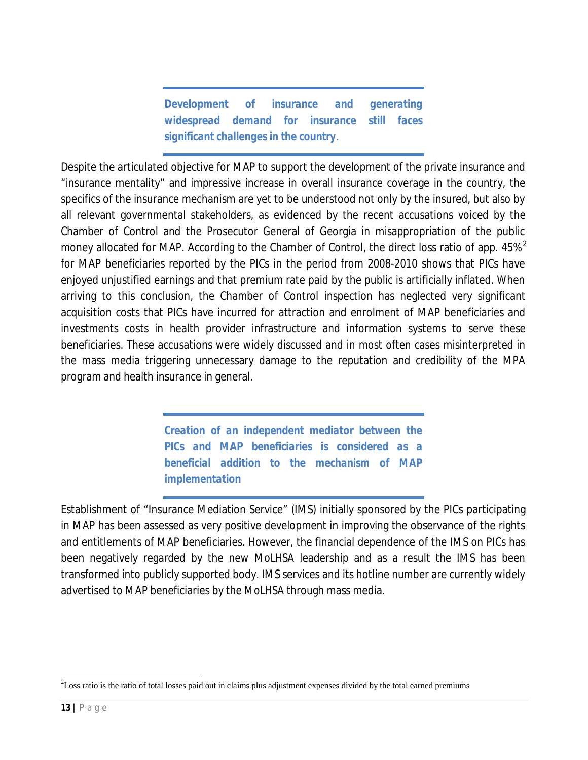*Development of insurance and generating widespread demand for insurance still faces significant challenges in the country.* 

Despite the articulated objective for MAP to support the development of the private insurance and "insurance mentality" and impressive increase in overall insurance coverage in the country, the specifics of the insurance mechanism are yet to be understood not only by the insured, but also by all relevant governmental stakeholders, as evidenced by the recent accusations voiced by the Chamber of Control and the Prosecutor General of Georgia in misappropriation of the public money allocated for MAP. According to the Chamber of Control, the direct loss ratio of app. 45%<sup>2</sup> for MAP beneficiaries reported by the PICs in the period from 2008-2010 shows that PICs have enjoyed unjustified earnings and that premium rate paid by the public is artificially inflated. When arriving to this conclusion, the Chamber of Control inspection has neglected very significant acquisition costs that PICs have incurred for attraction and enrolment of MAP beneficiaries and investments costs in health provider infrastructure and information systems to serve these beneficiaries. These accusations were widely discussed and in most often cases misinterpreted in the mass media triggering unnecessary damage to the reputation and credibility of the MPA program and health insurance in general.

> *Creation of an independent mediator between the PICs and MAP beneficiaries is considered as a beneficial addition to the mechanism of MAP implementation*

Establishment of "Insurance Mediation Service" (IMS) initially sponsored by the PICs participating in MAP has been assessed as very positive development in improving the observance of the rights and entitlements of MAP beneficiaries. However, the financial dependence of the IMS on PICs has been negatively regarded by the new MoLHSA leadership and as a result the IMS has been transformed into publicly supported body. IMS services and its hotline number are currently widely advertised to MAP beneficiaries by the MoLHSA through mass media.

1

 $2$ Loss ratio is the ratio of total losses paid out in claims plus adjustment expenses divided by the total earned premiums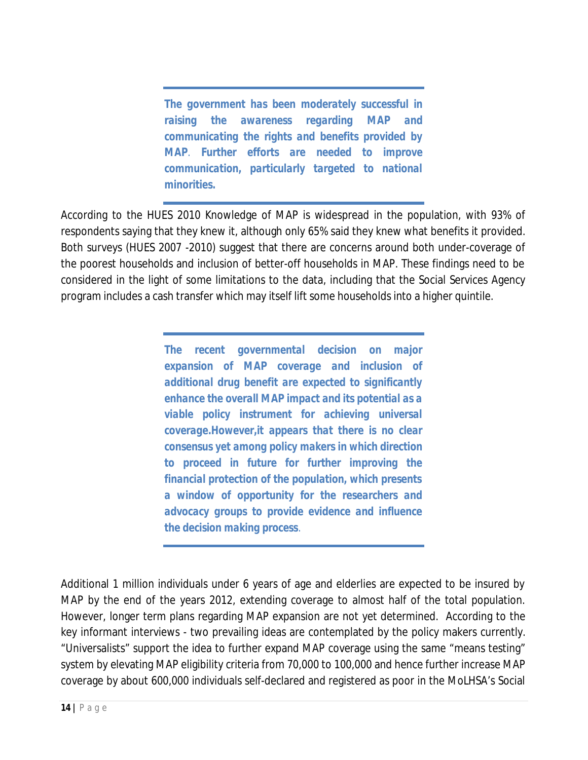*The government has been moderately successful in raising the awareness regarding MAP and communicating the rights and benefits provided by MAP. Further efforts are needed to improve communication, particularly targeted to national minorities.*

According to the HUES 2010 Knowledge of MAP is widespread in the population, with 93% of respondents saying that they knew it, although only 65% said they knew what benefits it provided. Both surveys (HUES 2007 -2010) suggest that there are concerns around both under-coverage of the poorest households and inclusion of better-off households in MAP. These findings need to be considered in the light of some limitations to the data, including that the Social Services Agency program includes a cash transfer which may itself lift some households into a higher quintile.

> *The recent governmental decision on major expansion of MAP coverage and inclusion of additional drug benefit are expected to significantly enhance the overall MAP impact and its potential as a viable policy instrument for achieving universal coverage.However,it appears that there is no clear consensus yet among policy makers in which direction to proceed in future for further improving the financial protection of the population, which presents a window of opportunity for the researchers and advocacy groups to provide evidence and influence the decision making process.*

Additional 1 million individuals under 6 years of age and elderlies are expected to be insured by MAP by the end of the years 2012, extending coverage to almost half of the total population. However, longer term plans regarding MAP expansion are not yet determined. According to the key informant interviews - two prevailing ideas are contemplated by the policy makers currently. "Universalists" support the idea to further expand MAP coverage using the same "means testing" system by elevating MAP eligibility criteria from 70,000 to 100,000 and hence further increase MAP coverage by about 600,000 individuals self-declared and registered as poor in the MoLHSA's Social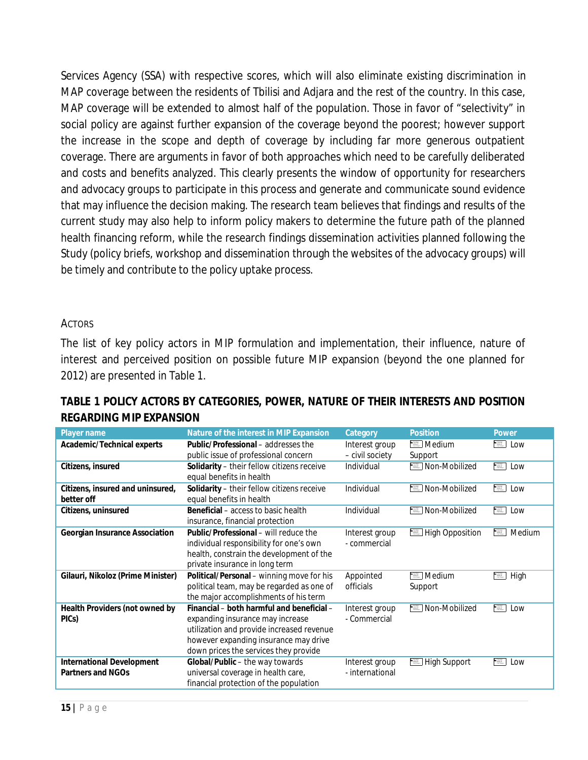Services Agency (SSA) with respective scores, which will also eliminate existing discrimination in MAP coverage between the residents of Tbilisi and Adjara and the rest of the country. In this case, MAP coverage will be extended to almost half of the population. Those in favor of "selectivity" in social policy are against further expansion of the coverage beyond the poorest; however support the increase in the scope and depth of coverage by including far more generous outpatient coverage. There are arguments in favor of both approaches which need to be carefully deliberated and costs and benefits analyzed. This clearly presents the window of opportunity for researchers and advocacy groups to participate in this process and generate and communicate sound evidence that may influence the decision making. The research team believes that findings and results of the current study may also help to inform policy makers to determine the future path of the planned health financing reform, while the research findings dissemination activities planned following the Study (policy briefs, workshop and dissemination through the websites of the advocacy groups) will be timely and contribute to the policy uptake process.

#### ACTORS

The list of key policy actors in MIP formulation and implementation, their influence, nature of interest and perceived position on possible future MIP expansion (beyond the one planned for 2012) are presented in Table 1.

| Player name                       | Nature of the interest in MIP Expansion    | Category        | <b>Position</b>                                                                                                                                                      | Power                                                   |
|-----------------------------------|--------------------------------------------|-----------------|----------------------------------------------------------------------------------------------------------------------------------------------------------------------|---------------------------------------------------------|
| Academic/Technical experts        | Public/Professional – addresses the        | Interest group  | <b>E</b> Medium                                                                                                                                                      | -표<br>Low                                               |
|                                   | public issue of professional concern       | - civil society | Support                                                                                                                                                              |                                                         |
| Citizens, insured                 | Solidarity - their fellow citizens receive | Individual      | Non-Mobilized                                                                                                                                                        | $\frac{1}{2}$<br>Low                                    |
|                                   | equal benefits in health                   |                 |                                                                                                                                                                      |                                                         |
| Citizens, insured and uninsured,  | Solidarity - their fellow citizens receive | Individual      | <b>■ Non-Mobilized</b>                                                                                                                                               | $\frac{\log\log n}{\log\log n}$<br>Low                  |
| better off                        | equal benefits in health                   |                 |                                                                                                                                                                      |                                                         |
| Citizens, uninsured               | Beneficial - access to basic health        | Individual      | Non-Mobilized<br>$-222$                                                                                                                                              | $\frac{1}{2}$<br>Low                                    |
|                                   | insurance, financial protection            |                 |                                                                                                                                                                      |                                                         |
| Georgian Insurance Association    | Public/Professional – will reduce the      | Interest group  | <b>E</b> High Opposition                                                                                                                                             | $\frac{1-\gamma_{\rm max}}{\gamma_{\rm max}}$<br>Medium |
|                                   | individual responsibility for one's own    | - commercial    |                                                                                                                                                                      |                                                         |
|                                   | health, constrain the development of the   |                 |                                                                                                                                                                      |                                                         |
|                                   | private insurance in long term             |                 |                                                                                                                                                                      |                                                         |
| Gilauri, Nikoloz (Prime Minister) | Political/Personal - winning move for his  | Appointed       | <b>■ Medium</b>                                                                                                                                                      | $\frac{1}{2}$<br>High                                   |
|                                   | political team, may be regarded as one of  | officials       | Support                                                                                                                                                              |                                                         |
|                                   | the major accomplishments of his term      |                 |                                                                                                                                                                      |                                                         |
| Health Providers (not owned by    | Financial – both harmful and beneficial –  | Interest group  | Non-Mobilized<br>一三                                                                                                                                                  | $\frac{1}{2}$<br>Low                                    |
| PICs)                             | expanding insurance may increase           | - Commercial    |                                                                                                                                                                      |                                                         |
|                                   | utilization and provide increased revenue  |                 |                                                                                                                                                                      |                                                         |
|                                   | however expanding insurance may drive      |                 |                                                                                                                                                                      |                                                         |
|                                   | down prices the services they provide      |                 |                                                                                                                                                                      |                                                         |
| <b>International Development</b>  | Global/Public - the way towards            | Interest group  | $\begin{array}{l} \mathbf{L}_{\rm{1.5\,GHz}} \\ \hline \mathbf{f}_{\rm{2.5\,GHz}} \\ \hline \mathbf{f}_{\rm{2.5\,GHz}} \\ \hline \end{array}$<br><b>High Support</b> | $-1/2$<br>Low                                           |
| Partners and NGOs                 | universal coverage in health care,         | - international |                                                                                                                                                                      |                                                         |
|                                   | financial protection of the population     |                 |                                                                                                                                                                      |                                                         |

## **TABLE 1 POLICY ACTORS BY CATEGORIES, POWER, NATURE OF THEIR INTERESTS AND POSITION REGARDING MIP EXPANSION**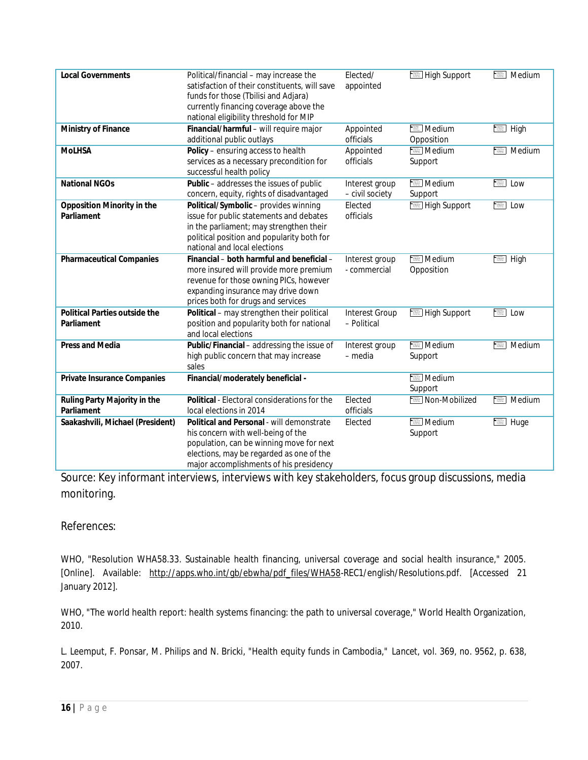| <b>Local Governments</b>         | Political/financial - may increase the        | Elected/              | High Support    | $\frac{1-\gamma_{\text{max}}}{\gamma_{\text{max}}-1}$<br>Medium                                                                                                                                                                                                                                                                                                                                                                                         |
|----------------------------------|-----------------------------------------------|-----------------------|-----------------|---------------------------------------------------------------------------------------------------------------------------------------------------------------------------------------------------------------------------------------------------------------------------------------------------------------------------------------------------------------------------------------------------------------------------------------------------------|
|                                  | satisfaction of their constituents, will save | appointed             |                 |                                                                                                                                                                                                                                                                                                                                                                                                                                                         |
|                                  | funds for those (Tbilisi and Adjara)          |                       |                 |                                                                                                                                                                                                                                                                                                                                                                                                                                                         |
|                                  | currently financing coverage above the        |                       |                 |                                                                                                                                                                                                                                                                                                                                                                                                                                                         |
|                                  |                                               |                       |                 |                                                                                                                                                                                                                                                                                                                                                                                                                                                         |
|                                  | national eligibility threshold for MIP        |                       |                 |                                                                                                                                                                                                                                                                                                                                                                                                                                                         |
| Ministry of Finance              | Financial/harmful - will require major        | Appointed             | Medium          | $\equiv$ High                                                                                                                                                                                                                                                                                                                                                                                                                                           |
|                                  | additional public outlays                     | officials             | Opposition      |                                                                                                                                                                                                                                                                                                                                                                                                                                                         |
| <b>MoLHSA</b>                    | Policy - ensuring access to health            | Appointed             | Medium          | Medium<br>$\frac{1}{1+\frac{1}{1+\frac{1}{1+\frac{1}{1+\frac{1}{1+\frac{1}{1+\frac{1}{1+\frac{1}{1+\frac{1}{1+\frac{1}{1+\frac{1}{1+\frac{1}{1+\frac{1}{1+\frac{1}{1+\frac{1}{1+\frac{1}{1+\frac{1}{1+\frac{1}{1+\frac{1}{1+\frac{1}{1+\frac{1}{1+\frac{1}{1+\frac{1}{1+\frac{1}{1+\frac{1}{1+\frac{1}{1+\frac{1}{1+\frac{1}{1+\frac{1}{1+\frac{1}{1+\frac{1}{1+\frac{1}{1+\frac{1}{1+\frac{1}{1+\frac{1}{1+\frac{1}{1+\frac{1$                         |
|                                  | services as a necessary precondition for      | officials             | Support         |                                                                                                                                                                                                                                                                                                                                                                                                                                                         |
|                                  | successful health policy                      |                       |                 |                                                                                                                                                                                                                                                                                                                                                                                                                                                         |
| <b>National NGOs</b>             | Public - addresses the issues of public       | Interest group        | Medium          | $\begin{array}{l} \mbox{In fact} \\ \mbox{sup.} \\ \mbox{in a point} \\ \mbox{in a point} \end{array}$<br>Low                                                                                                                                                                                                                                                                                                                                           |
|                                  | concern, equity, rights of disadvantaged      | - civil society       | Support         |                                                                                                                                                                                                                                                                                                                                                                                                                                                         |
| Opposition Minority in the       | Political/Symbolic - provides winning         | Elected               | High Support    | $\frac{1}{1+\epsilon}$<br>Low                                                                                                                                                                                                                                                                                                                                                                                                                           |
|                                  |                                               |                       |                 |                                                                                                                                                                                                                                                                                                                                                                                                                                                         |
| Parliament                       | issue for public statements and debates       | officials             |                 |                                                                                                                                                                                                                                                                                                                                                                                                                                                         |
|                                  | in the parliament; may strengthen their       |                       |                 |                                                                                                                                                                                                                                                                                                                                                                                                                                                         |
|                                  | political position and popularity both for    |                       |                 |                                                                                                                                                                                                                                                                                                                                                                                                                                                         |
|                                  | national and local elections                  |                       |                 |                                                                                                                                                                                                                                                                                                                                                                                                                                                         |
| <b>Pharmaceutical Companies</b>  | Financial - both harmful and beneficial -     | Interest group        | $E$ Medium      | $\begin{tabular}{ c c } \hline \multicolumn{1}{ c }{\textbf{PQHE}}\\ \hline \multicolumn{1}{ c }{\textbf{PQHE}}\\ \hline \multicolumn{1}{ c }{\textbf{PQHE}}\\ \hline \multicolumn{1}{ c }{\textbf{PQHE}}\\ \hline \multicolumn{1}{ c }{\textbf{PQHE}}\\ \hline \multicolumn{1}{ c }{\textbf{PQHE}}\\ \hline \multicolumn{1}{ c }{\textbf{PQHE}}\\ \hline \multicolumn{1}{ c }{\textbf{PQHE}}\\ \hline \multicolumn{1}{ c }{\textbf{PQHE}}\\ \$<br>High |
|                                  | more insured will provide more premium        | - commercial          | Opposition      |                                                                                                                                                                                                                                                                                                                                                                                                                                                         |
|                                  | revenue for those owning PICs, however        |                       |                 |                                                                                                                                                                                                                                                                                                                                                                                                                                                         |
|                                  | expanding insurance may drive down            |                       |                 |                                                                                                                                                                                                                                                                                                                                                                                                                                                         |
|                                  |                                               |                       |                 |                                                                                                                                                                                                                                                                                                                                                                                                                                                         |
|                                  | prices both for drugs and services            |                       |                 |                                                                                                                                                                                                                                                                                                                                                                                                                                                         |
| Political Parties outside the    | Political - may strengthen their political    | <b>Interest Group</b> | High Support    | $\begin{array}{l} \mbox{Ny-RMS} \\ \mbox{exp-30001} \\ \mbox{Ny-RMS} \\ \mbox{Ny-RMS} \end{array}$<br>Low                                                                                                                                                                                                                                                                                                                                               |
| Parliament                       | position and popularity both for national     | - Political           |                 |                                                                                                                                                                                                                                                                                                                                                                                                                                                         |
|                                  | and local elections                           |                       |                 |                                                                                                                                                                                                                                                                                                                                                                                                                                                         |
| Press and Media                  | Public/Financial - addressing the issue of    | Interest group        | <b>■ Medium</b> | Medium<br>$\frac{1-\gamma_{\rm max}}{\gamma_{\rm max}}$                                                                                                                                                                                                                                                                                                                                                                                                 |
|                                  | high public concern that may increase         | - media               | Support         |                                                                                                                                                                                                                                                                                                                                                                                                                                                         |
|                                  | sales                                         |                       |                 |                                                                                                                                                                                                                                                                                                                                                                                                                                                         |
| Private Insurance Companies      | Financial/moderately beneficial -             |                       | Medium          |                                                                                                                                                                                                                                                                                                                                                                                                                                                         |
|                                  |                                               |                       | Support         |                                                                                                                                                                                                                                                                                                                                                                                                                                                         |
| Ruling Party Majority in the     | Political - Electoral considerations for the  | Elected               | Non-Mobilized   | Medium                                                                                                                                                                                                                                                                                                                                                                                                                                                  |
|                                  |                                               |                       |                 |                                                                                                                                                                                                                                                                                                                                                                                                                                                         |
| Parliament                       | local elections in 2014                       | officials             |                 |                                                                                                                                                                                                                                                                                                                                                                                                                                                         |
| Saakashvili, Michael (President) | Political and Personal - will demonstrate     | Elected               | Medium          | Huge                                                                                                                                                                                                                                                                                                                                                                                                                                                    |
|                                  | his concern with well-being of the            |                       | Support         |                                                                                                                                                                                                                                                                                                                                                                                                                                                         |
|                                  | population, can be winning move for next      |                       |                 |                                                                                                                                                                                                                                                                                                                                                                                                                                                         |
|                                  | elections, may be regarded as one of the      |                       |                 |                                                                                                                                                                                                                                                                                                                                                                                                                                                         |
|                                  | major accomplishments of his presidency       |                       |                 |                                                                                                                                                                                                                                                                                                                                                                                                                                                         |
|                                  |                                               |                       |                 |                                                                                                                                                                                                                                                                                                                                                                                                                                                         |

Source: Key informant interviews, interviews with key stakeholders, focus group discussions, media monitoring.

#### References:

WHO, "Resolution WHA58.33. Sustainable health financing, universal coverage and social health insurance," 2005. [Online]. Available: [http://apps.who.int/gb/ebwha/pdf\\_files/WHA58-](http://apps.who.int/gb/ebwha/pdf_files/WHA58)REC1/english/Resolutions.pdf. [Accessed 21 January 2012].

WHO, "The world health report: health systems financing: the path to universal coverage," World Health Organization, 2010.

L. Leemput, F. Ponsar, M. Philips and N. Bricki, "Health equity funds in Cambodia," *Lancet,* vol. 369, no. 9562, p. 638, 2007.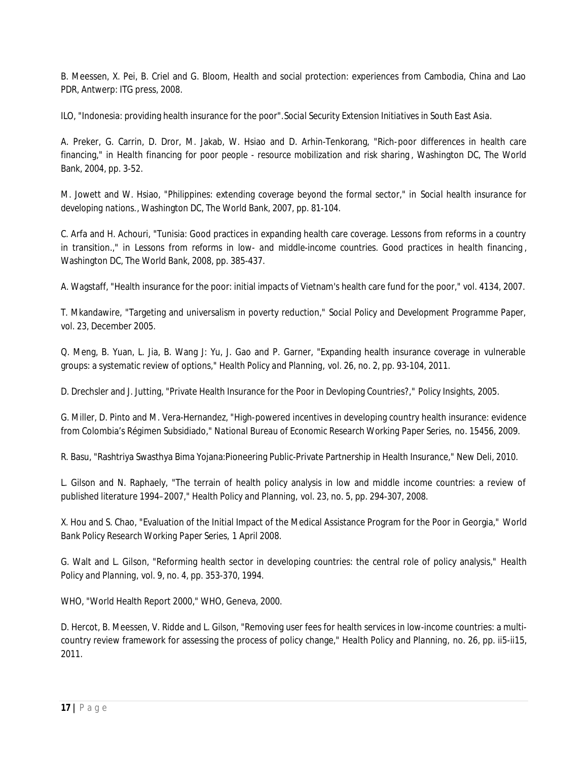B. Meessen, X. Pei, B. Criel and G. Bloom, Health and social protection: experiences from Cambodia, China and Lao PDR, Antwerp: ITG press, 2008.

ILO, "Indonesia: providing health insurance for the poor".*Social Security Extension Initiatives in South East Asia.*

A. Preker, G. Carrin, D. Dror, M. Jakab, W. Hsiao and D. Arhin-Tenkorang, "Rich-poor differences in health care financing," in *Health financing for poor people - resource mobilization and risk sharing* , Washington DC, The World Bank, 2004, pp. 3-52.

M. Jowett and W. Hsiao, "Philippines: extending coverage beyond the formal sector," in *Social health insurance for developing nations.*, Washington DC, The World Bank, 2007, pp. 81-104.

C. Arfa and H. Achouri, "Tunisia: Good practices in expanding health care coverage. Lessons from reforms in a country in transition.," in *Lessons from reforms in low- and middle-income countries. Good practices in health financing* , Washington DC, The World Bank, 2008, pp. 385-437.

A. Wagstaff, "Health insurance for the poor: initial impacts of Vietnam's health care fund for the poor," vol. 4134, 2007.

T. Mkandawire, "Targeting and universalism in poverty reduction," *Social Policy and Development Programme Paper,*  vol. 23, December 2005.

Q. Meng, B. Yuan, L. Jia, B. Wang J: Yu, J. Gao and P. Garner, "Expanding health insurance coverage in vulnerable groups: a systematic review of options," *Health Policy and Planning,* vol. 26, no. 2, pp. 93-104, 2011.

D. Drechsler and J. Jutting, "Private Health Insurance for the Poor in Devloping Countries?," *Policy Insights,* 2005.

G. Miller, D. Pinto and M. Vera-Hernandez, "High-powered incentives in developing country health insurance: evidence from Colombia's Régimen Subsidiado," *National Bureau of Economic Research Working Paper Series,* no. 15456, 2009.

R. Basu, "Rashtriya Swasthya Bima Yojana:Pioneering Public-Private Partnership in Health Insurance," New Deli, 2010.

L. Gilson and N. Raphaely, "The terrain of health policy analysis in low and middle income countries: a review of published literature 1994–2007," *Health Policy and Planning,* vol. 23, no. 5, pp. 294-307, 2008.

X. Hou and S. Chao, "Evaluation of the Initial Impact of the Medical Assistance Program for the Poor in Georgia," *World Bank Policy Research Working Paper Series,* 1 April 2008.

G. Walt and L. Gilson, "Reforming health sector in developing countries: the central role of policy analysis," *Health Policy and Planning,* vol. 9, no. 4, pp. 353-370, 1994.

WHO, "World Health Report 2000," WHO, Geneva, 2000.

D. Hercot, B. Meessen, V. Ridde and L. Gilson, "Removing user fees for health services in low-income countries: a multicountry review framework for assessing the process of policy change," *Health Policy and Planning,* no. 26, pp. ii5-ii15, 2011.